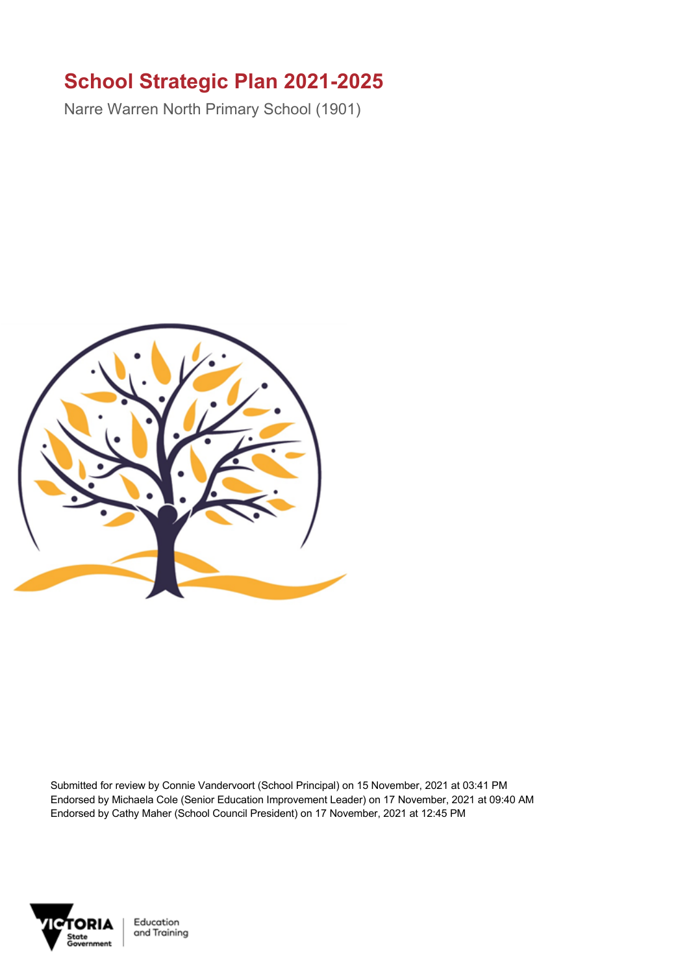## **School Strategic Plan 2021-2025**

Narre Warren North Primary School (1901)



Submitted for review by Connie Vandervoort (School Principal) on 15 November, 2021 at 03:41 PM Endorsed by Michaela Cole (Senior Education Improvement Leader) on 17 November, 2021 at 09:40 AM Endorsed by Cathy Maher (School Council President) on 17 November, 2021 at 12:45 PM



Education and Training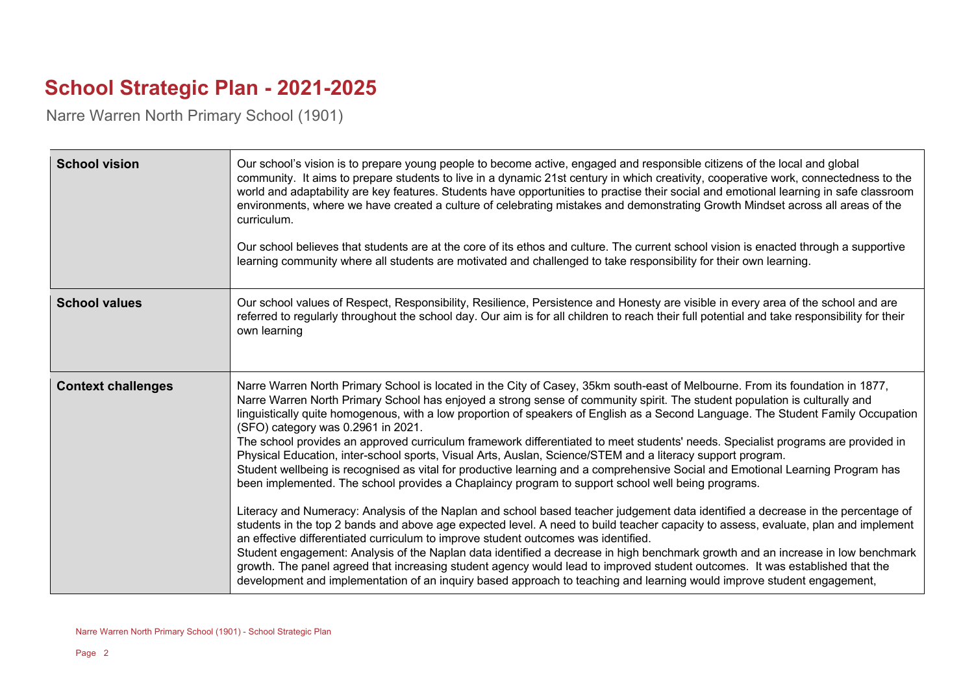## **School Strategic Plan - 2021-2025**

Narre Warren North Primary School (1901)

| <b>School vision</b>      | Our school's vision is to prepare young people to become active, engaged and responsible citizens of the local and global<br>community. It aims to prepare students to live in a dynamic 21st century in which creativity, cooperative work, connectedness to the<br>world and adaptability are key features. Students have opportunities to practise their social and emotional learning in safe classroom<br>environments, where we have created a culture of celebrating mistakes and demonstrating Growth Mindset across all areas of the<br>curriculum.<br>Our school believes that students are at the core of its ethos and culture. The current school vision is enacted through a supportive<br>learning community where all students are motivated and challenged to take responsibility for their own learning.                                                                                                                                                                                                                                                                                                                                                                                                                                                                                                                                                                                                                                                                                                                                                                                                                                                                   |
|---------------------------|----------------------------------------------------------------------------------------------------------------------------------------------------------------------------------------------------------------------------------------------------------------------------------------------------------------------------------------------------------------------------------------------------------------------------------------------------------------------------------------------------------------------------------------------------------------------------------------------------------------------------------------------------------------------------------------------------------------------------------------------------------------------------------------------------------------------------------------------------------------------------------------------------------------------------------------------------------------------------------------------------------------------------------------------------------------------------------------------------------------------------------------------------------------------------------------------------------------------------------------------------------------------------------------------------------------------------------------------------------------------------------------------------------------------------------------------------------------------------------------------------------------------------------------------------------------------------------------------------------------------------------------------------------------------------------------------|
| <b>School values</b>      | Our school values of Respect, Responsibility, Resilience, Persistence and Honesty are visible in every area of the school and are<br>referred to regularly throughout the school day. Our aim is for all children to reach their full potential and take responsibility for their<br>own learning                                                                                                                                                                                                                                                                                                                                                                                                                                                                                                                                                                                                                                                                                                                                                                                                                                                                                                                                                                                                                                                                                                                                                                                                                                                                                                                                                                                            |
| <b>Context challenges</b> | Narre Warren North Primary School is located in the City of Casey, 35km south-east of Melbourne. From its foundation in 1877,<br>Narre Warren North Primary School has enjoyed a strong sense of community spirit. The student population is culturally and<br>linguistically quite homogenous, with a low proportion of speakers of English as a Second Language. The Student Family Occupation<br>(SFO) category was 0.2961 in 2021.<br>The school provides an approved curriculum framework differentiated to meet students' needs. Specialist programs are provided in<br>Physical Education, inter-school sports, Visual Arts, Auslan, Science/STEM and a literacy support program.<br>Student wellbeing is recognised as vital for productive learning and a comprehensive Social and Emotional Learning Program has<br>been implemented. The school provides a Chaplaincy program to support school well being programs.<br>Literacy and Numeracy: Analysis of the Naplan and school based teacher judgement data identified a decrease in the percentage of<br>students in the top 2 bands and above age expected level. A need to build teacher capacity to assess, evaluate, plan and implement<br>an effective differentiated curriculum to improve student outcomes was identified.<br>Student engagement: Analysis of the Naplan data identified a decrease in high benchmark growth and an increase in low benchmark<br>growth. The panel agreed that increasing student agency would lead to improved student outcomes. It was established that the<br>development and implementation of an inquiry based approach to teaching and learning would improve student engagement, |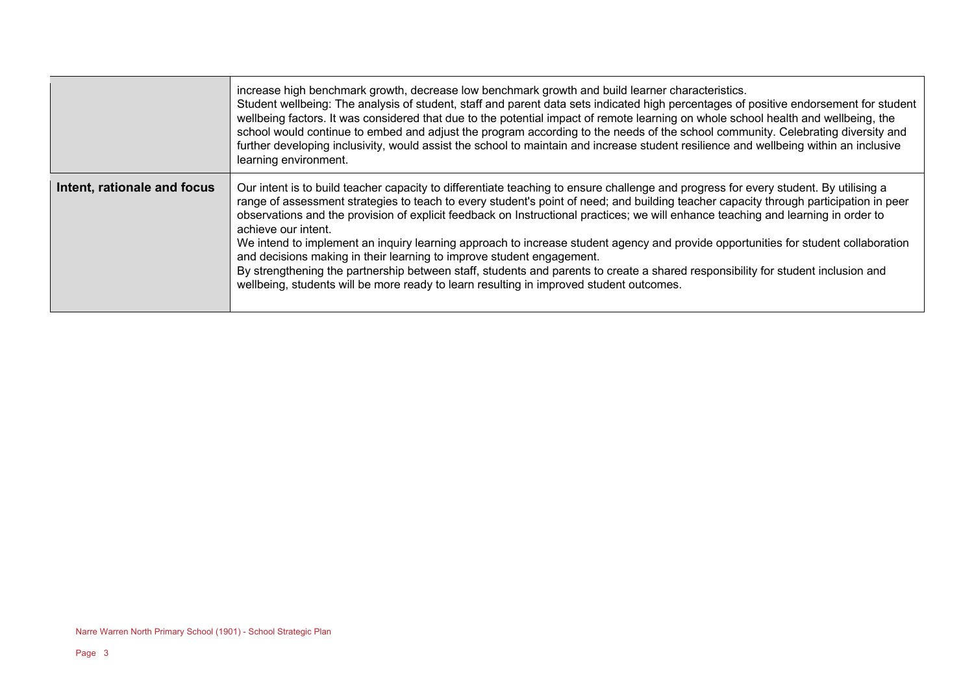|                             | increase high benchmark growth, decrease low benchmark growth and build learner characteristics.<br>Student wellbeing: The analysis of student, staff and parent data sets indicated high percentages of positive endorsement for student<br>wellbeing factors. It was considered that due to the potential impact of remote learning on whole school health and wellbeing, the<br>school would continue to embed and adjust the program according to the needs of the school community. Celebrating diversity and<br>further developing inclusivity, would assist the school to maintain and increase student resilience and wellbeing within an inclusive<br>learning environment.                                                                                                                                                                                                    |
|-----------------------------|-----------------------------------------------------------------------------------------------------------------------------------------------------------------------------------------------------------------------------------------------------------------------------------------------------------------------------------------------------------------------------------------------------------------------------------------------------------------------------------------------------------------------------------------------------------------------------------------------------------------------------------------------------------------------------------------------------------------------------------------------------------------------------------------------------------------------------------------------------------------------------------------|
| Intent, rationale and focus | Our intent is to build teacher capacity to differentiate teaching to ensure challenge and progress for every student. By utilising a<br>range of assessment strategies to teach to every student's point of need; and building teacher capacity through participation in peer<br>observations and the provision of explicit feedback on Instructional practices; we will enhance teaching and learning in order to<br>achieve our intent.<br>We intend to implement an inquiry learning approach to increase student agency and provide opportunities for student collaboration<br>and decisions making in their learning to improve student engagement.<br>By strengthening the partnership between staff, students and parents to create a shared responsibility for student inclusion and<br>wellbeing, students will be more ready to learn resulting in improved student outcomes. |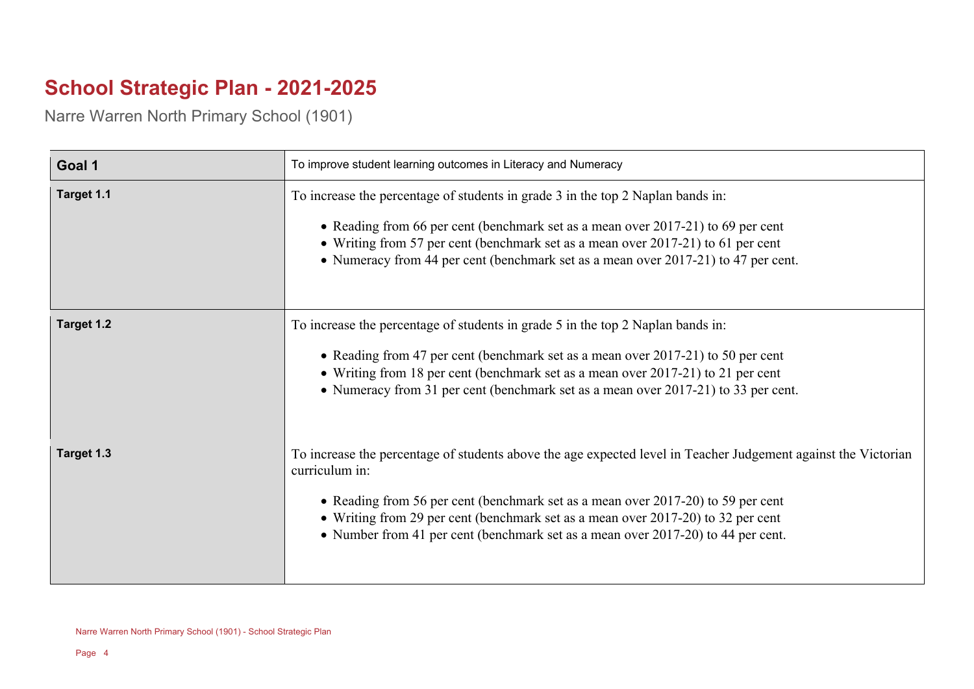## **School Strategic Plan - 2021-2025**

Narre Warren North Primary School (1901)

| Goal 1     | To improve student learning outcomes in Literacy and Numeracy                                                                                                                                                                                                                                                                                                                                |
|------------|----------------------------------------------------------------------------------------------------------------------------------------------------------------------------------------------------------------------------------------------------------------------------------------------------------------------------------------------------------------------------------------------|
| Target 1.1 | To increase the percentage of students in grade 3 in the top 2 Naplan bands in:<br>• Reading from 66 per cent (benchmark set as a mean over 2017-21) to 69 per cent<br>• Writing from 57 per cent (benchmark set as a mean over 2017-21) to 61 per cent<br>• Numeracy from 44 per cent (benchmark set as a mean over 2017-21) to 47 per cent.                                                |
| Target 1.2 | To increase the percentage of students in grade 5 in the top 2 Naplan bands in:<br>• Reading from 47 per cent (benchmark set as a mean over 2017-21) to 50 per cent<br>• Writing from 18 per cent (benchmark set as a mean over 2017-21) to 21 per cent<br>• Numeracy from 31 per cent (benchmark set as a mean over 2017-21) to 33 per cent.                                                |
| Target 1.3 | To increase the percentage of students above the age expected level in Teacher Judgement against the Victorian<br>curriculum in:<br>• Reading from 56 per cent (benchmark set as a mean over 2017-20) to 59 per cent<br>• Writing from 29 per cent (benchmark set as a mean over 2017-20) to 32 per cent<br>• Number from 41 per cent (benchmark set as a mean over 2017-20) to 44 per cent. |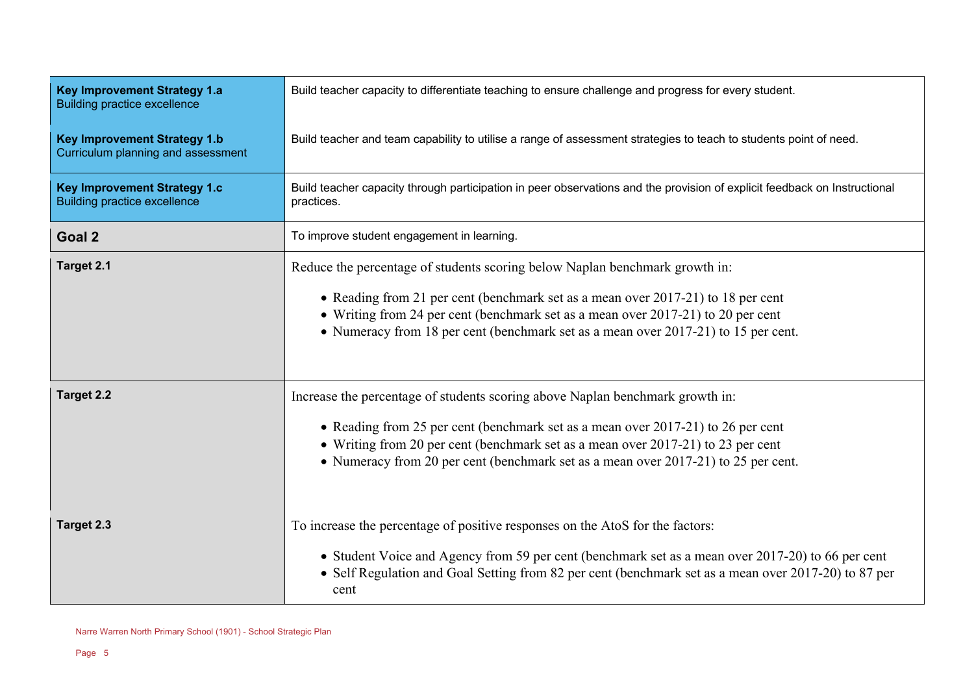| <b>Key Improvement Strategy 1.a</b><br><b>Building practice excellence</b> | Build teacher capacity to differentiate teaching to ensure challenge and progress for every student.                                                                                                                                                                                                                                        |
|----------------------------------------------------------------------------|---------------------------------------------------------------------------------------------------------------------------------------------------------------------------------------------------------------------------------------------------------------------------------------------------------------------------------------------|
| <b>Key Improvement Strategy 1.b</b><br>Curriculum planning and assessment  | Build teacher and team capability to utilise a range of assessment strategies to teach to students point of need.                                                                                                                                                                                                                           |
| <b>Key Improvement Strategy 1.c</b><br><b>Building practice excellence</b> | Build teacher capacity through participation in peer observations and the provision of explicit feedback on Instructional<br>practices.                                                                                                                                                                                                     |
| Goal 2                                                                     | To improve student engagement in learning.                                                                                                                                                                                                                                                                                                  |
| Target 2.1                                                                 | Reduce the percentage of students scoring below Naplan benchmark growth in:<br>• Reading from 21 per cent (benchmark set as a mean over 2017-21) to 18 per cent<br>• Writing from 24 per cent (benchmark set as a mean over 2017-21) to 20 per cent<br>• Numeracy from 18 per cent (benchmark set as a mean over 2017-21) to 15 per cent.   |
| <b>Target 2.2</b>                                                          | Increase the percentage of students scoring above Naplan benchmark growth in:<br>• Reading from 25 per cent (benchmark set as a mean over 2017-21) to 26 per cent<br>• Writing from 20 per cent (benchmark set as a mean over 2017-21) to 23 per cent<br>• Numeracy from 20 per cent (benchmark set as a mean over 2017-21) to 25 per cent. |
| Target 2.3                                                                 | To increase the percentage of positive responses on the AtoS for the factors:<br>• Student Voice and Agency from 59 per cent (benchmark set as a mean over 2017-20) to 66 per cent<br>• Self Regulation and Goal Setting from 82 per cent (benchmark set as a mean over 2017-20) to 87 per<br>cent                                          |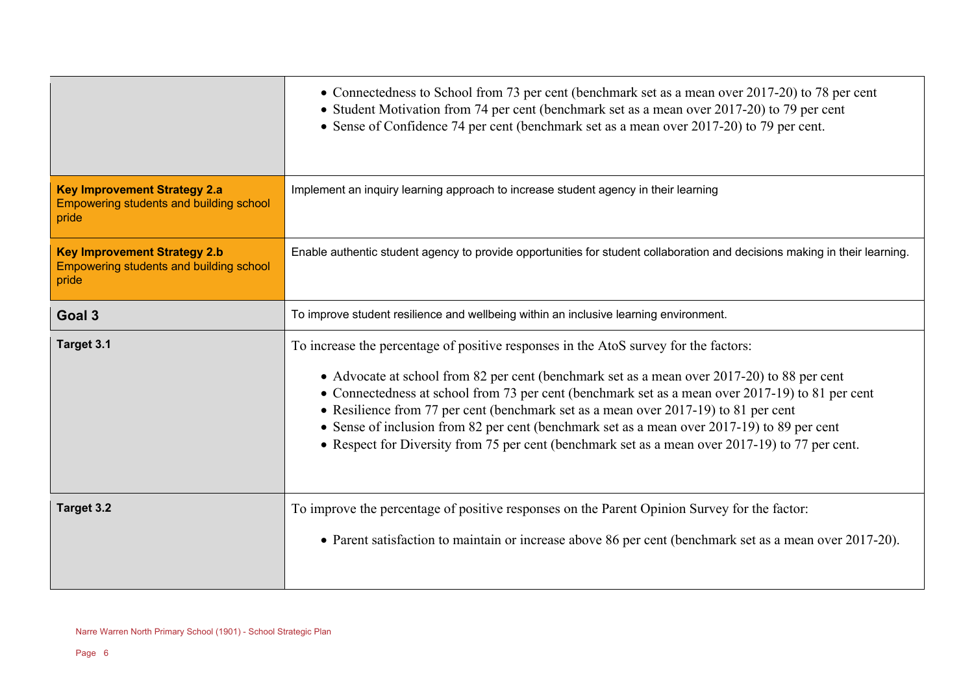|                                                                                                | • Connectedness to School from 73 per cent (benchmark set as a mean over 2017-20) to 78 per cent<br>• Student Motivation from 74 per cent (benchmark set as a mean over 2017-20) to 79 per cent<br>• Sense of Confidence 74 per cent (benchmark set as a mean over 2017-20) to 79 per cent.                                                                                                                                                                                                                                                                                      |
|------------------------------------------------------------------------------------------------|----------------------------------------------------------------------------------------------------------------------------------------------------------------------------------------------------------------------------------------------------------------------------------------------------------------------------------------------------------------------------------------------------------------------------------------------------------------------------------------------------------------------------------------------------------------------------------|
| <b>Key Improvement Strategy 2.a</b><br><b>Empowering students and building school</b><br>pride | Implement an inquiry learning approach to increase student agency in their learning                                                                                                                                                                                                                                                                                                                                                                                                                                                                                              |
| <b>Key Improvement Strategy 2.b</b><br>Empowering students and building school<br>pride        | Enable authentic student agency to provide opportunities for student collaboration and decisions making in their learning.                                                                                                                                                                                                                                                                                                                                                                                                                                                       |
| Goal 3                                                                                         | To improve student resilience and wellbeing within an inclusive learning environment.                                                                                                                                                                                                                                                                                                                                                                                                                                                                                            |
| Target 3.1                                                                                     | To increase the percentage of positive responses in the AtoS survey for the factors:<br>• Advocate at school from 82 per cent (benchmark set as a mean over 2017-20) to 88 per cent<br>• Connectedness at school from 73 per cent (benchmark set as a mean over 2017-19) to 81 per cent<br>• Resilience from 77 per cent (benchmark set as a mean over 2017-19) to 81 per cent<br>• Sense of inclusion from 82 per cent (benchmark set as a mean over 2017-19) to 89 per cent<br>• Respect for Diversity from 75 per cent (benchmark set as a mean over 2017-19) to 77 per cent. |
| Target 3.2                                                                                     | To improve the percentage of positive responses on the Parent Opinion Survey for the factor:<br>• Parent satisfaction to maintain or increase above 86 per cent (benchmark set as a mean over 2017-20).                                                                                                                                                                                                                                                                                                                                                                          |